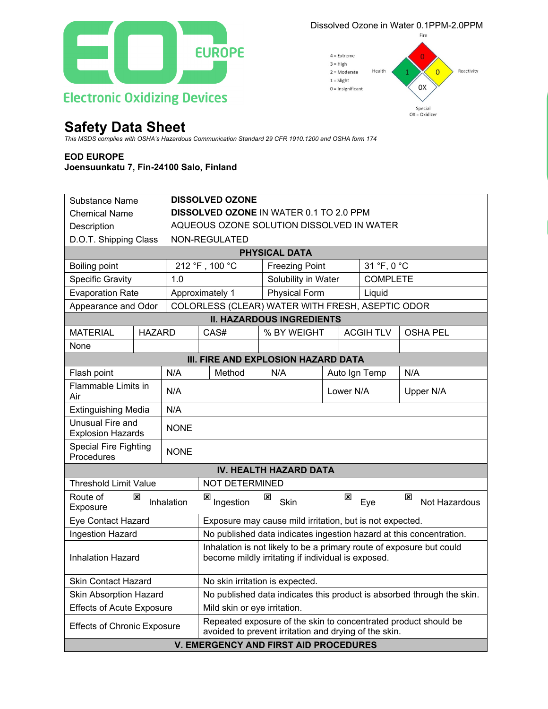

## **Safety Data Sheet**

## **EOD EUROPE**

## **Joensuunkatu 7, Fin-24100 Salo, Finland**

| This MSDS complies with OSHA's Hazardous Communication Standard 29 CFR 1910.1200 and OSHA form 174<br><b>EOD EUROPE</b><br>Joensuunkatu 7, Fin-24100 Salo, Finland<br>Substance Name<br><b>Chemical Name</b><br>Description<br>D.O.T. Shipping Class<br><b>Boiling point</b> |             |                                                                                                                            |                                                                                                                                        |                                    |                 |                    |  |  |  |  |  |
|------------------------------------------------------------------------------------------------------------------------------------------------------------------------------------------------------------------------------------------------------------------------------|-------------|----------------------------------------------------------------------------------------------------------------------------|----------------------------------------------------------------------------------------------------------------------------------------|------------------------------------|-----------------|--------------------|--|--|--|--|--|
|                                                                                                                                                                                                                                                                              |             |                                                                                                                            |                                                                                                                                        |                                    |                 |                    |  |  |  |  |  |
|                                                                                                                                                                                                                                                                              |             |                                                                                                                            | <b>DISSOLVED OZONE</b><br><b>DISSOLVED OZONE IN WATER 0.1 TO 2.0 PPM</b><br>AQUEOUS OZONE SOLUTION DISSOLVED IN WATER<br>NON-REGULATED |                                    |                 |                    |  |  |  |  |  |
|                                                                                                                                                                                                                                                                              |             |                                                                                                                            | <b>PHYSICAL DATA</b>                                                                                                                   |                                    |                 |                    |  |  |  |  |  |
|                                                                                                                                                                                                                                                                              |             | 212 °F, 100 °C<br><b>Freezing Point</b>                                                                                    |                                                                                                                                        | 31 °F, 0 °C                        |                 |                    |  |  |  |  |  |
| <b>Specific Gravity</b>                                                                                                                                                                                                                                                      | 1.0         |                                                                                                                            | Solubility in Water                                                                                                                    |                                    | <b>COMPLETE</b> |                    |  |  |  |  |  |
| <b>Evaporation Rate</b>                                                                                                                                                                                                                                                      |             | <b>Physical Form</b><br>Approximately 1                                                                                    |                                                                                                                                        | Liquid                             |                 |                    |  |  |  |  |  |
| Appearance and Odor                                                                                                                                                                                                                                                          |             | COLORLESS (CLEAR) WATER WITH FRESH, ASEPTIC ODOR                                                                           |                                                                                                                                        |                                    |                 |                    |  |  |  |  |  |
|                                                                                                                                                                                                                                                                              |             |                                                                                                                            | <b>II. HAZARDOUS INGREDIENTS</b>                                                                                                       |                                    |                 |                    |  |  |  |  |  |
| <b>MATERIAL</b><br><b>HAZARD</b>                                                                                                                                                                                                                                             |             | CAS#                                                                                                                       | % BY WEIGHT                                                                                                                            | <b>ACGIHTLV</b><br><b>OSHA PEL</b> |                 |                    |  |  |  |  |  |
| None                                                                                                                                                                                                                                                                         |             |                                                                                                                            |                                                                                                                                        |                                    |                 |                    |  |  |  |  |  |
|                                                                                                                                                                                                                                                                              |             | III. FIRE AND EXPLOSION HAZARD DATA                                                                                        |                                                                                                                                        |                                    |                 |                    |  |  |  |  |  |
| Flash point<br>N/A<br>Flammable Limits in                                                                                                                                                                                                                                    |             | Method<br>N/A                                                                                                              |                                                                                                                                        | Auto Ign Temp                      |                 | N/A                |  |  |  |  |  |
| Air                                                                                                                                                                                                                                                                          | N/A         |                                                                                                                            |                                                                                                                                        | Lower N/A                          |                 | Upper N/A          |  |  |  |  |  |
| <b>Extinguishing Media</b>                                                                                                                                                                                                                                                   | N/A         |                                                                                                                            |                                                                                                                                        |                                    |                 |                    |  |  |  |  |  |
| Unusual Fire and<br><b>Explosion Hazards</b>                                                                                                                                                                                                                                 | <b>NONE</b> |                                                                                                                            |                                                                                                                                        |                                    |                 |                    |  |  |  |  |  |
| <b>Special Fire Fighting</b><br>Procedures                                                                                                                                                                                                                                   | <b>NONE</b> |                                                                                                                            |                                                                                                                                        |                                    |                 |                    |  |  |  |  |  |
|                                                                                                                                                                                                                                                                              |             |                                                                                                                            | IV. HEALTH HAZARD DATA                                                                                                                 |                                    |                 |                    |  |  |  |  |  |
| <b>Threshold Limit Value</b>                                                                                                                                                                                                                                                 |             | <b>NOT DETERMINED</b>                                                                                                      |                                                                                                                                        |                                    |                 |                    |  |  |  |  |  |
| Route of<br>⊠<br>Exposure                                                                                                                                                                                                                                                    | Inhalation  | ⊠<br>Ingestion                                                                                                             | ⊠<br>Skin                                                                                                                              | ⊠                                  | Eye             | ×<br>Not Hazardous |  |  |  |  |  |
| <b>Eye Contact Hazard</b>                                                                                                                                                                                                                                                    |             | Exposure may cause mild irritation, but is not expected.                                                                   |                                                                                                                                        |                                    |                 |                    |  |  |  |  |  |
| Ingestion Hazard                                                                                                                                                                                                                                                             |             | No published data indicates ingestion hazard at this concentration.                                                        |                                                                                                                                        |                                    |                 |                    |  |  |  |  |  |
| <b>Inhalation Hazard</b>                                                                                                                                                                                                                                                     |             | Inhalation is not likely to be a primary route of exposure but could<br>become mildly irritating if individual is exposed. |                                                                                                                                        |                                    |                 |                    |  |  |  |  |  |
| <b>Skin Contact Hazard</b>                                                                                                                                                                                                                                                   |             | No skin irritation is expected.                                                                                            |                                                                                                                                        |                                    |                 |                    |  |  |  |  |  |
| Skin Absorption Hazard                                                                                                                                                                                                                                                       |             |                                                                                                                            | No published data indicates this product is absorbed through the skin.                                                                 |                                    |                 |                    |  |  |  |  |  |
| <b>Effects of Acute Exposure</b>                                                                                                                                                                                                                                             |             | Mild skin or eye irritation.                                                                                               |                                                                                                                                        |                                    |                 |                    |  |  |  |  |  |
| <b>Effects of Chronic Exposure</b>                                                                                                                                                                                                                                           |             |                                                                                                                            | Repeated exposure of the skin to concentrated product should be<br>avoided to prevent irritation and drying of the skin.               |                                    |                 |                    |  |  |  |  |  |
|                                                                                                                                                                                                                                                                              |             | <b>V. EMERGENCY AND FIRST AID PROCEDURES</b>                                                                               |                                                                                                                                        |                                    |                 |                    |  |  |  |  |  |

Dissolved Ozone in Water 0.1PPM-2.0PPM